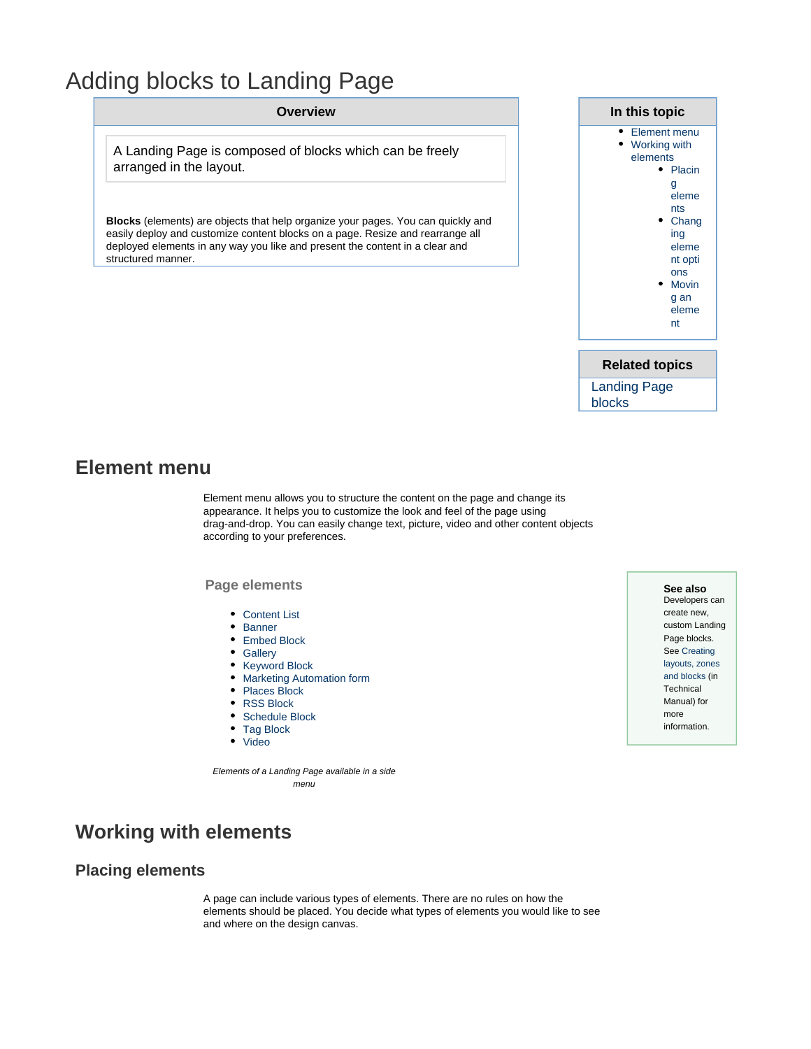# Adding blocks to Landing Page

#### **Overview**

A Landing Page is composed of blocks which can be freely arranged in the layout.

**Blocks** (elements) are objects that help organize your pages. You can quickly and easily deploy and customize content blocks on a page. Resize and rearrange all deployed elements in any way you like and present the content in a clear and structured manner.



[blocks](https://doc.ez.no/display/USERGUIDE/Landing+Page+blocks)

## <span id="page-0-0"></span>**Element menu**

Element menu allows you to structure the content on the page and change its appearance. It helps you to customize the look and feel of the page using drag-and-drop. You can easily change text, picture, video and other content objects according to your preferences.

#### **Page elements**

- [Content List](https://doc.ez.no/display/USERGUIDE/Content+List+Block)
- [Banner](https://doc.ez.no/display/USERGUIDE/Banner+Block)
- [Embed Block](https://doc.ez.no/display/USERGUIDE/Embed+Block)
- [Gallery](https://doc.ez.no/display/USERGUIDE/Gallery+Block)
- [Keyword Block](https://doc.ez.no/display/USERGUIDE/Keyword+Block)
- [Marketing Automation form](https://doc.ez.no/display/USERGUIDE/Marketing+Automation+form)
- [Places Block](https://doc.ez.no/display/USERGUIDE/Places+Block)
- [RSS Block](https://doc.ez.no/display/USERGUIDE/RSS+Block)
- [Schedule Block](https://doc.ez.no/display/USERGUIDE/Schedule+Block)
- [Tag Block](https://doc.ez.no/display/USERGUIDE/Tag+Block)
- [Video](https://doc.ez.no/display/USERGUIDE/Video+Block)

Elements of a Landing Page available in a side menu

## <span id="page-0-1"></span>**Working with elements**

#### <span id="page-0-2"></span>**Placing elements**

A page can include various types of elements. There are no rules on how the elements should be placed. You decide what types of elements you would like to see and where on the design canvas.

**See also** Developers can create new, custom Landing Page blocks. See [Creating](https://doc.ez.no/display/TECHDOC/Creating+layouts%2C+zones+and+blocks) [layouts, zones](https://doc.ez.no/display/TECHDOC/Creating+layouts%2C+zones+and+blocks) [and blocks](https://doc.ez.no/display/TECHDOC/Creating+layouts%2C+zones+and+blocks) (in Technical Manual) for more information.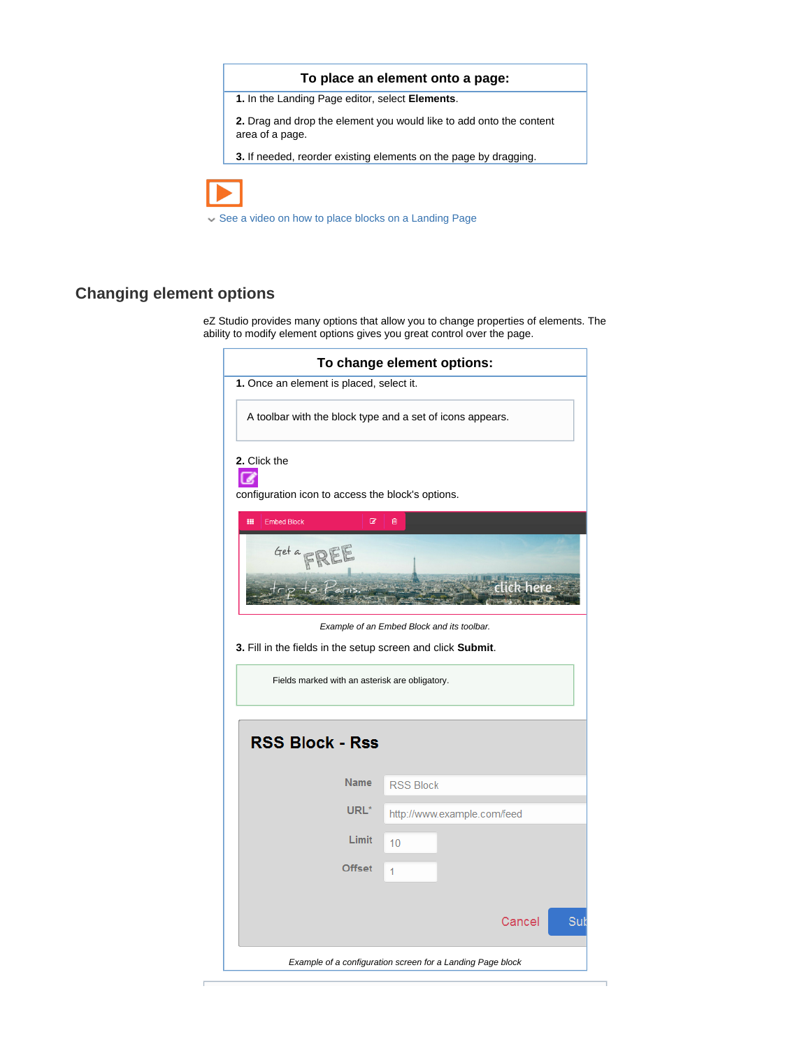

See a video on how to place blocks on a Landing Page

## <span id="page-1-0"></span>**Changing element options**

eZ Studio provides many options that allow you to change properties of elements. The ability to modify element options gives you great control over the page.

| To change element options:                                                                                |                             |
|-----------------------------------------------------------------------------------------------------------|-----------------------------|
| 1. Once an element is placed, select it.                                                                  |                             |
| A toolbar with the block type and a set of icons appears.                                                 |                             |
| 2. Click the<br>18<br>configuration icon to access the block's options.                                   |                             |
| <b>Embed Block</b><br>m<br>B<br>Get a FREE                                                                | 自                           |
| Example of an Embed Block and its toolbar.<br>3. Fill in the fields in the setup screen and click Submit. |                             |
| Fields marked with an asterisk are obligatory.                                                            |                             |
| <b>RSS Block - Rss</b>                                                                                    |                             |
| <b>Name</b>                                                                                               | <b>RSS Block</b>            |
| URL*                                                                                                      | http://www.example.com/feed |
| Limit                                                                                                     | 10                          |
| <b>Offset</b>                                                                                             | 1                           |
|                                                                                                           |                             |
|                                                                                                           | Cancel<br>Sul               |
| Example of a configuration screen for a Landing Page block                                                |                             |